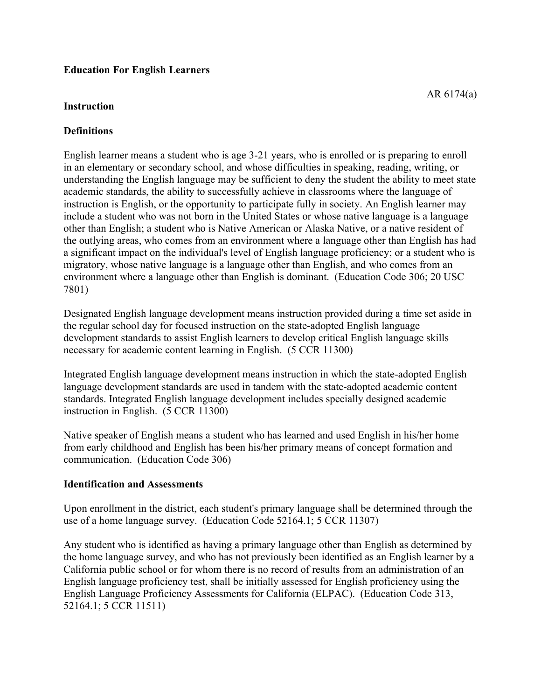## **Education For English Learners**

#### **Instruction**

### **Definitions**

English learner means a student who is age 3-21 years, who is enrolled or is preparing to enroll in an elementary or secondary school, and whose difficulties in speaking, reading, writing, or understanding the English language may be sufficient to deny the student the ability to meet state academic standards, the ability to successfully achieve in classrooms where the language of instruction is English, or the opportunity to participate fully in society. An English learner may include a student who was not born in the United States or whose native language is a language other than English; a student who is Native American or Alaska Native, or a native resident of the outlying areas, who comes from an environment where a language other than English has had a significant impact on the individual's level of English language proficiency; or a student who is migratory, whose native language is a language other than English, and who comes from an environment where a language other than English is dominant. (Education Code 306; 20 USC 7801)

Designated English language development means instruction provided during a time set aside in the regular school day for focused instruction on the state-adopted English language development standards to assist English learners to develop critical English language skills necessary for academic content learning in English. (5 CCR 11300)

Integrated English language development means instruction in which the state-adopted English language development standards are used in tandem with the state-adopted academic content standards. Integrated English language development includes specially designed academic instruction in English. (5 CCR 11300)

Native speaker of English means a student who has learned and used English in his/her home from early childhood and English has been his/her primary means of concept formation and communication. (Education Code 306)

#### **Identification and Assessments**

Upon enrollment in the district, each student's primary language shall be determined through the use of a home language survey. (Education Code 52164.1; 5 CCR 11307)

Any student who is identified as having a primary language other than English as determined by the home language survey, and who has not previously been identified as an English learner by a California public school or for whom there is no record of results from an administration of an English language proficiency test, shall be initially assessed for English proficiency using the English Language Proficiency Assessments for California (ELPAC). (Education Code 313, 52164.1; 5 CCR 11511)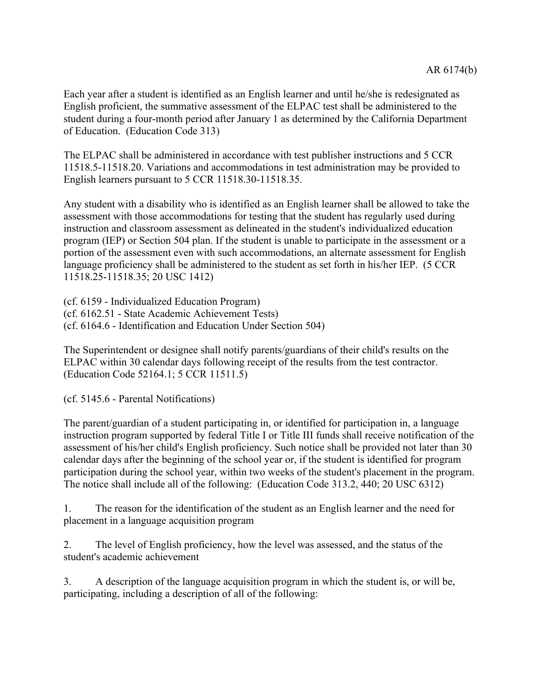Each year after a student is identified as an English learner and until he/she is redesignated as English proficient, the summative assessment of the ELPAC test shall be administered to the student during a four-month period after January 1 as determined by the California Department of Education. (Education Code 313)

The ELPAC shall be administered in accordance with test publisher instructions and 5 CCR 11518.5-11518.20. Variations and accommodations in test administration may be provided to English learners pursuant to 5 CCR 11518.30-11518.35.

Any student with a disability who is identified as an English learner shall be allowed to take the assessment with those accommodations for testing that the student has regularly used during instruction and classroom assessment as delineated in the student's individualized education program (IEP) or Section 504 plan. If the student is unable to participate in the assessment or a portion of the assessment even with such accommodations, an alternate assessment for English language proficiency shall be administered to the student as set forth in his/her IEP. (5 CCR 11518.25-11518.35; 20 USC 1412)

(cf. 6159 - Individualized Education Program) (cf. 6162.51 - State Academic Achievement Tests) (cf. 6164.6 - Identification and Education Under Section 504)

The Superintendent or designee shall notify parents/guardians of their child's results on the ELPAC within 30 calendar days following receipt of the results from the test contractor. (Education Code 52164.1; 5 CCR 11511.5)

(cf. 5145.6 - Parental Notifications)

The parent/guardian of a student participating in, or identified for participation in, a language instruction program supported by federal Title I or Title III funds shall receive notification of the assessment of his/her child's English proficiency. Such notice shall be provided not later than 30 calendar days after the beginning of the school year or, if the student is identified for program participation during the school year, within two weeks of the student's placement in the program. The notice shall include all of the following: (Education Code 313.2, 440; 20 USC 6312)

1. The reason for the identification of the student as an English learner and the need for placement in a language acquisition program

2. The level of English proficiency, how the level was assessed, and the status of the student's academic achievement

3. A description of the language acquisition program in which the student is, or will be, participating, including a description of all of the following: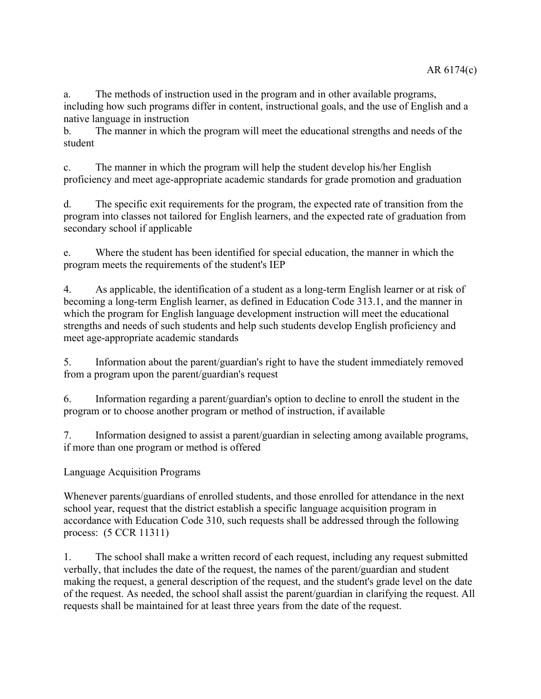a. The methods of instruction used in the program and in other available programs, including how such programs differ in content, instructional goals, and the use of English and a native language in instruction

b. The manner in which the program will meet the educational strengths and needs of the student

c. The manner in which the program will help the student develop his/her English proficiency and meet age-appropriate academic standards for grade promotion and graduation

d. The specific exit requirements for the program, the expected rate of transition from the program into classes not tailored for English learners, and the expected rate of graduation from secondary school if applicable

e. Where the student has been identified for special education, the manner in which the program meets the requirements of the student's IEP

4. As applicable, the identification of a student as a long-term English learner or at risk of becoming a long-term English learner, as defined in Education Code 313.1, and the manner in which the program for English language development instruction will meet the educational strengths and needs of such students and help such students develop English proficiency and meet age-appropriate academic standards

5. Information about the parent/guardian's right to have the student immediately removed from a program upon the parent/guardian's request

6. Information regarding a parent/guardian's option to decline to enroll the student in the program or to choose another program or method of instruction, if available

7. Information designed to assist a parent/guardian in selecting among available programs, if more than one program or method is offered

Language Acquisition Programs

Whenever parents/guardians of enrolled students, and those enrolled for attendance in the next school year, request that the district establish a specific language acquisition program in accordance with Education Code 310, such requests shall be addressed through the following process: (5 CCR 11311)

1. The school shall make a written record of each request, including any request submitted verbally, that includes the date of the request, the names of the parent/guardian and student making the request, a general description of the request, and the student's grade level on the date of the request. As needed, the school shall assist the parent/guardian in clarifying the request. All requests shall be maintained for at least three years from the date of the request.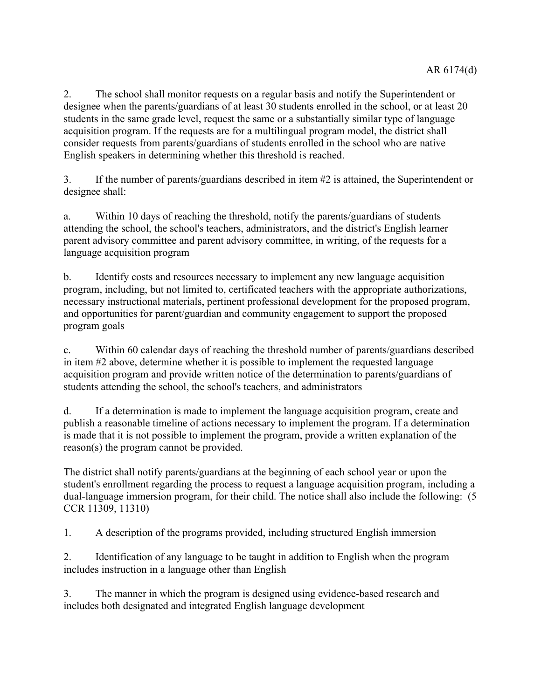2. The school shall monitor requests on a regular basis and notify the Superintendent or designee when the parents/guardians of at least 30 students enrolled in the school, or at least 20 students in the same grade level, request the same or a substantially similar type of language acquisition program. If the requests are for a multilingual program model, the district shall consider requests from parents/guardians of students enrolled in the school who are native English speakers in determining whether this threshold is reached.

3. If the number of parents/guardians described in item #2 is attained, the Superintendent or designee shall:

a. Within 10 days of reaching the threshold, notify the parents/guardians of students attending the school, the school's teachers, administrators, and the district's English learner parent advisory committee and parent advisory committee, in writing, of the requests for a language acquisition program

b. Identify costs and resources necessary to implement any new language acquisition program, including, but not limited to, certificated teachers with the appropriate authorizations, necessary instructional materials, pertinent professional development for the proposed program, and opportunities for parent/guardian and community engagement to support the proposed program goals

c. Within 60 calendar days of reaching the threshold number of parents/guardians described in item #2 above, determine whether it is possible to implement the requested language acquisition program and provide written notice of the determination to parents/guardians of students attending the school, the school's teachers, and administrators

d. If a determination is made to implement the language acquisition program, create and publish a reasonable timeline of actions necessary to implement the program. If a determination is made that it is not possible to implement the program, provide a written explanation of the reason(s) the program cannot be provided.

The district shall notify parents/guardians at the beginning of each school year or upon the student's enrollment regarding the process to request a language acquisition program, including a dual-language immersion program, for their child. The notice shall also include the following: (5 CCR 11309, 11310)

1. A description of the programs provided, including structured English immersion

2. Identification of any language to be taught in addition to English when the program includes instruction in a language other than English

3. The manner in which the program is designed using evidence-based research and includes both designated and integrated English language development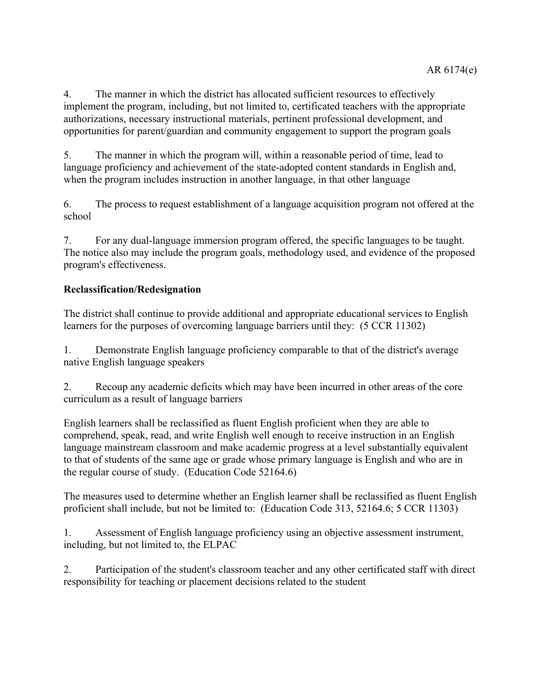4. The manner in which the district has allocated sufficient resources to effectively implement the program, including, but not limited to, certificated teachers with the appropriate authorizations, necessary instructional materials, pertinent professional development, and opportunities for parent/guardian and community engagement to support the program goals

5. The manner in which the program will, within a reasonable period of time, lead to language proficiency and achievement of the state-adopted content standards in English and, when the program includes instruction in another language, in that other language

6. The process to request establishment of a language acquisition program not offered at the school

7. For any dual-language immersion program offered, the specific languages to be taught. The notice also may include the program goals, methodology used, and evidence of the proposed program's effectiveness.

# **Reclassification/Redesignation**

The district shall continue to provide additional and appropriate educational services to English learners for the purposes of overcoming language barriers until they: (5 CCR 11302)

1. Demonstrate English language proficiency comparable to that of the district's average native English language speakers

2. Recoup any academic deficits which may have been incurred in other areas of the core curriculum as a result of language barriers

English learners shall be reclassified as fluent English proficient when they are able to comprehend, speak, read, and write English well enough to receive instruction in an English language mainstream classroom and make academic progress at a level substantially equivalent to that of students of the same age or grade whose primary language is English and who are in the regular course of study. (Education Code 52164.6)

The measures used to determine whether an English learner shall be reclassified as fluent English proficient shall include, but not be limited to: (Education Code 313, 52164.6; 5 CCR 11303)

1. Assessment of English language proficiency using an objective assessment instrument, including, but not limited to, the ELPAC

2. Participation of the student's classroom teacher and any other certificated staff with direct responsibility for teaching or placement decisions related to the student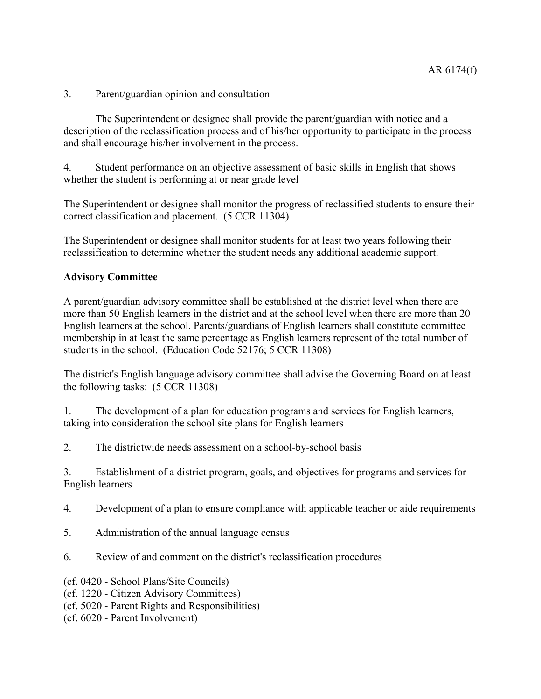3. Parent/guardian opinion and consultation

The Superintendent or designee shall provide the parent/guardian with notice and a description of the reclassification process and of his/her opportunity to participate in the process and shall encourage his/her involvement in the process.

4. Student performance on an objective assessment of basic skills in English that shows whether the student is performing at or near grade level

The Superintendent or designee shall monitor the progress of reclassified students to ensure their correct classification and placement. (5 CCR 11304)

The Superintendent or designee shall monitor students for at least two years following their reclassification to determine whether the student needs any additional academic support.

### **Advisory Committee**

A parent/guardian advisory committee shall be established at the district level when there are more than 50 English learners in the district and at the school level when there are more than 20 English learners at the school. Parents/guardians of English learners shall constitute committee membership in at least the same percentage as English learners represent of the total number of students in the school. (Education Code 52176; 5 CCR 11308)

The district's English language advisory committee shall advise the Governing Board on at least the following tasks: (5 CCR 11308)

1. The development of a plan for education programs and services for English learners, taking into consideration the school site plans for English learners

2. The districtwide needs assessment on a school-by-school basis

3. Establishment of a district program, goals, and objectives for programs and services for English learners

- 4. Development of a plan to ensure compliance with applicable teacher or aide requirements
- 5. Administration of the annual language census
- 6. Review of and comment on the district's reclassification procedures
- (cf. 0420 School Plans/Site Councils)
- (cf. 1220 Citizen Advisory Committees)
- (cf. 5020 Parent Rights and Responsibilities)
- (cf. 6020 Parent Involvement)